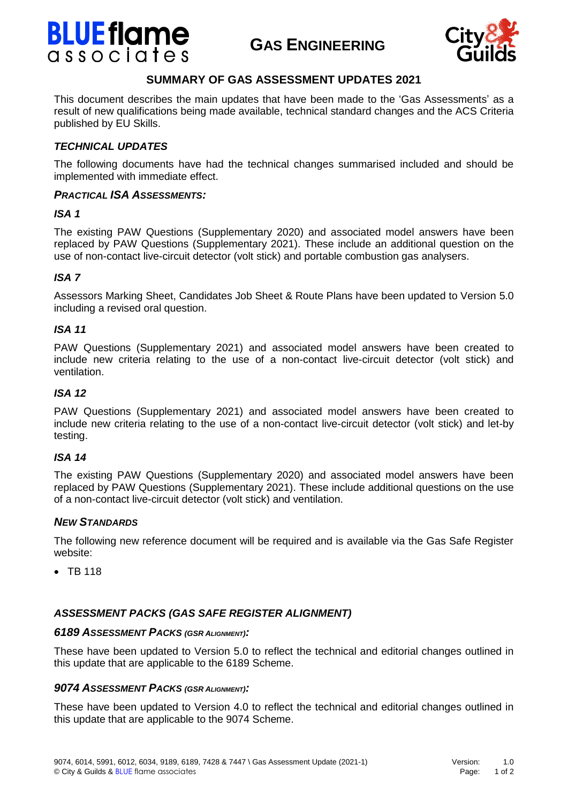# **BLUE flame** associates

# **GAS ENGINEERING**



# **SUMMARY OF GAS ASSESSMENT UPDATES 2021**

This document describes the main updates that have been made to the 'Gas Assessments' as a result of new qualifications being made available, technical standard changes and the ACS Criteria published by EU Skills.

# *TECHNICAL UPDATES*

The following documents have had the technical changes summarised included and should be implemented with immediate effect.

#### *PRACTICAL ISA ASSESSMENTS:*

#### *ISA 1*

The existing PAW Questions (Supplementary 2020) and associated model answers have been replaced by PAW Questions (Supplementary 2021). These include an additional question on the use of non-contact live-circuit detector (volt stick) and portable combustion gas analysers.

# *ISA 7*

Assessors Marking Sheet, Candidates Job Sheet & Route Plans have been updated to Version 5.0 including a revised oral question.

#### *ISA 11*

PAW Questions (Supplementary 2021) and associated model answers have been created to include new criteria relating to the use of a non-contact live-circuit detector (volt stick) and ventilation.

#### *ISA 12*

PAW Questions (Supplementary 2021) and associated model answers have been created to include new criteria relating to the use of a non-contact live-circuit detector (volt stick) and let-by testing.

#### *ISA 14*

The existing PAW Questions (Supplementary 2020) and associated model answers have been replaced by PAW Questions (Supplementary 2021). These include additional questions on the use of a non-contact live-circuit detector (volt stick) and ventilation.

#### *NEW STANDARDS*

The following new reference document will be required and is available via the Gas Safe Register website:

 $\bullet$  TR 118

# *ASSESSMENT PACKS (GAS SAFE REGISTER ALIGNMENT)*

#### *6189 ASSESSMENT PACKS (GSR <sup>A</sup>LIGNMENT):*

These have been updated to Version 5.0 to reflect the technical and editorial changes outlined in this update that are applicable to the 6189 Scheme.

#### *9074 ASSESSMENT PACKS (GSR <sup>A</sup>LIGNMENT):*

These have been updated to Version 4.0 to reflect the technical and editorial changes outlined in this update that are applicable to the 9074 Scheme.